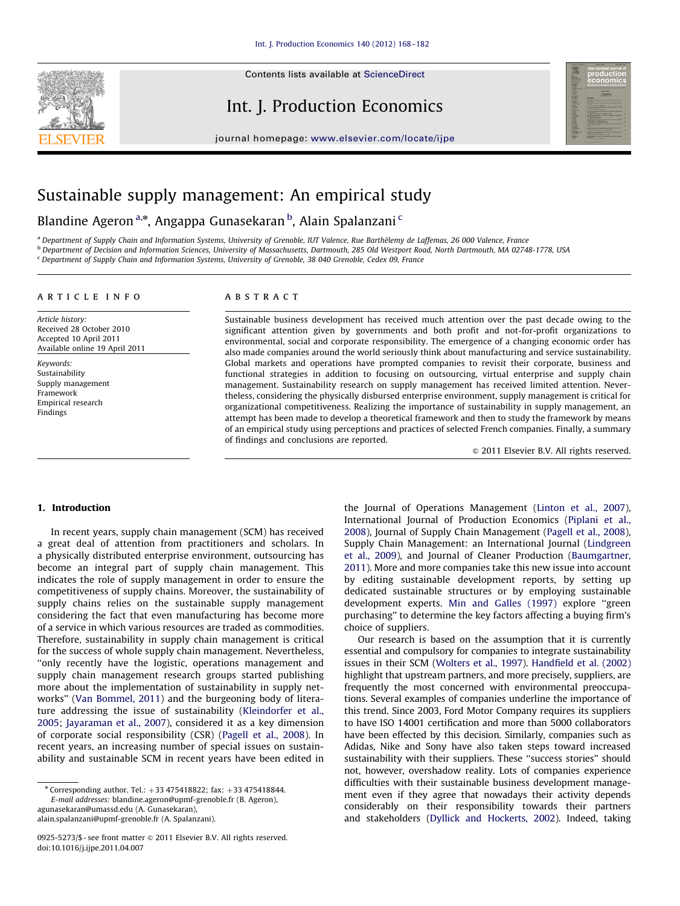

Contents lists available at ScienceDirect

# Int. J. Production Economics



journal homepage: <www.elsevier.com/locate/ijpe>

# Sustainable supply management: An empirical study

Blandine Ageron<sup>a,</sup>\*, Angappa Gunasekaran <sup>b</sup>, Alain Spalanzani <sup>c</sup>

<sup>a</sup> Department of Supply Chain and Information Systems, University of Grenoble, IUT Valence, Rue Barthélemy de Laffemas, 26 000 Valence, France

b Department of Decision and Information Sciences, University of Massachusetts, Dartmouth, 285 Old Westport Road, North Dartmouth, MA 02748-1778, USA

<sup>c</sup> Department of Supply Chain and Information Systems, University of Grenoble, 38 040 Grenoble, Cedex 09, France

### article info

Article history: Received 28 October 2010 Accepted 10 April 2011 Available online 19 April 2011

Keywords: Sustainability Supply management Framework Empirical research Findings

## **ABSTRACT**

Sustainable business development has received much attention over the past decade owing to the significant attention given by governments and both profit and not-for-profit organizations to environmental, social and corporate responsibility. The emergence of a changing economic order has also made companies around the world seriously think about manufacturing and service sustainability. Global markets and operations have prompted companies to revisit their corporate, business and functional strategies in addition to focusing on outsourcing, virtual enterprise and supply chain management. Sustainability research on supply management has received limited attention. Nevertheless, considering the physically disbursed enterprise environment, supply management is critical for organizational competitiveness. Realizing the importance of sustainability in supply management, an attempt has been made to develop a theoretical framework and then to study the framework by means of an empirical study using perceptions and practices of selected French companies. Finally, a summary of findings and conclusions are reported.

 $\odot$  2011 Elsevier B.V. All rights reserved.

## 1. Introduction

In recent years, supply chain management (SCM) has received a great deal of attention from practitioners and scholars. In a physically distributed enterprise environment, outsourcing has become an integral part of supply chain management. This indicates the role of supply management in order to ensure the competitiveness of supply chains. Moreover, the sustainability of supply chains relies on the sustainable supply management considering the fact that even manufacturing has become more of a service in which various resources are traded as commodities. Therefore, sustainability in supply chain management is critical for the success of whole supply chain management. Nevertheless, ''only recently have the logistic, operations management and supply chain management research groups started publishing more about the implementation of sustainability in supply networks'' [\(Van Bommel, 2011\)](#page--1-0) and the burgeoning body of literature addressing the issue of sustainability ([Kleindorfer et al.,](#page--1-0) [2005;](#page--1-0) [Jayaraman et al., 2007\)](#page--1-0), considered it as a key dimension of corporate social responsibility (CSR) ([Pagell et al., 2008](#page--1-0)). In recent years, an increasing number of special issues on sustainability and sustainable SCM in recent years have been edited in

E-mail addresses: [blandine.ageron@upmf-grenoble.fr \(B. Ageron\),](mailto:blandine.ageron@upmf-grenoble.fr)

[agunasekaran@umassd.edu \(A. Gunasekaran\),](mailto:agunasekaran@umassd.edu) [alain.spalanzani@upmf-grenoble.fr \(A. Spalanzani\).](mailto:alain.spalanzani@upmf-grenoble.fr) the Journal of Operations Management [\(Linton et al., 2007\)](#page--1-0), International Journal of Production Economics ([Piplani et al.,](#page--1-0) [2008\)](#page--1-0), Journal of Supply Chain Management [\(Pagell et al., 2008\)](#page--1-0), Supply Chain Management: an International Journal ([Lindgreen](#page--1-0) [et al., 2009\)](#page--1-0), and Journal of Cleaner Production ([Baumgartner,](#page--1-0) [2011\)](#page--1-0). More and more companies take this new issue into account by editing sustainable development reports, by setting up dedicated sustainable structures or by employing sustainable development experts. [Min and Galles \(1997\)](#page--1-0) explore ''green purchasing'' to determine the key factors affecting a buying firm's choice of suppliers.

Our research is based on the assumption that it is currently essential and compulsory for companies to integrate sustainability issues in their SCM [\(Wolters et al., 1997\)](#page--1-0). [Handfield et al. \(2002\)](#page--1-0) highlight that upstream partners, and more precisely, suppliers, are frequently the most concerned with environmental preoccupations. Several examples of companies underline the importance of this trend. Since 2003, Ford Motor Company requires its suppliers to have ISO 14001 certification and more than 5000 collaborators have been effected by this decision. Similarly, companies such as Adidas, Nike and Sony have also taken steps toward increased sustainability with their suppliers. These ''success stories'' should not, however, overshadow reality. Lots of companies experience difficulties with their sustainable business development management even if they agree that nowadays their activity depends considerably on their responsibility towards their partners and stakeholders ([Dyllick and Hockerts, 2002](#page--1-0)). Indeed, taking

 $*$  Corresponding author. Tel.:  $+33$  475418822; fax:  $+33$  475418844.

<sup>0925-5273/\$ -</sup> see front matter @ 2011 Elsevier B.V. All rights reserved. doi:[10.1016/j.ijpe.2011.04.007](dx.doi.org/10.1016/j.ijpe.2011.04.007)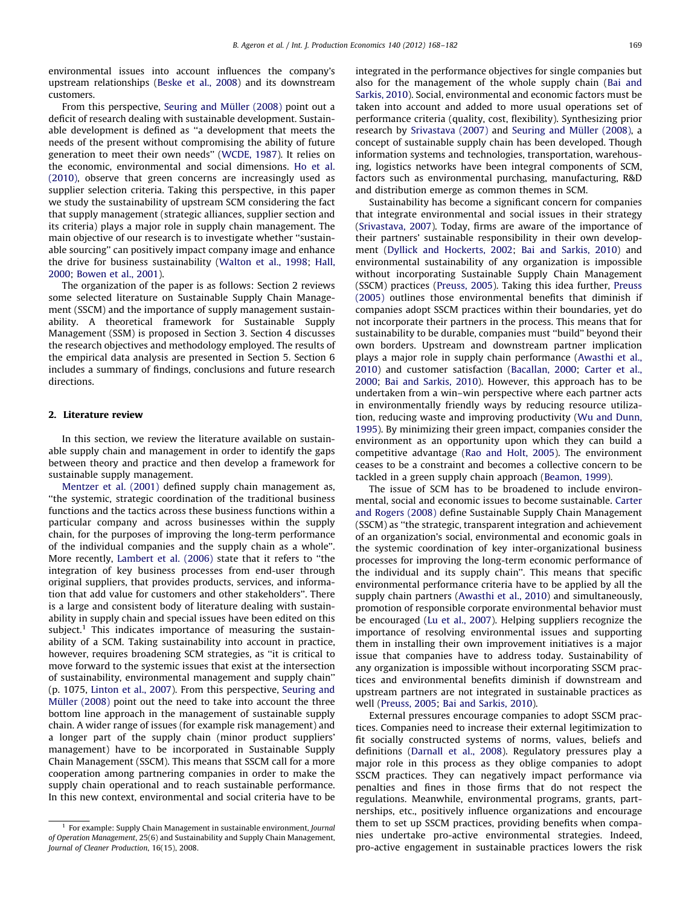environmental issues into account influences the company's upstream relationships ([Beske et al., 2008](#page--1-0)) and its downstream customers.

From this perspective, Seuring and Müller (2008) point out a deficit of research dealing with sustainable development. Sustainable development is defined as ''a development that meets the needs of the present without compromising the ability of future generation to meet their own needs'' [\(WCDE, 1987\)](#page--1-0). It relies on the economic, environmental and social dimensions. [Ho et al.](#page--1-0) [\(2010\),](#page--1-0) observe that green concerns are increasingly used as supplier selection criteria. Taking this perspective, in this paper we study the sustainability of upstream SCM considering the fact that supply management (strategic alliances, supplier section and its criteria) plays a major role in supply chain management. The main objective of our research is to investigate whether ''sustainable sourcing'' can positively impact company image and enhance the drive for business sustainability [\(Walton et al., 1998](#page--1-0); [Hall,](#page--1-0) [2000;](#page--1-0) [Bowen et al., 2001\)](#page--1-0).

The organization of the paper is as follows: Section 2 reviews some selected literature on Sustainable Supply Chain Management (SSCM) and the importance of supply management sustainability. A theoretical framework for Sustainable Supply Management (SSM) is proposed in Section 3. Section 4 discusses the research objectives and methodology employed. The results of the empirical data analysis are presented in Section 5. Section 6 includes a summary of findings, conclusions and future research directions.

#### 2. Literature review

In this section, we review the literature available on sustainable supply chain and management in order to identify the gaps between theory and practice and then develop a framework for sustainable supply management.

[Mentzer et al. \(2001\)](#page--1-0) defined supply chain management as, ''the systemic, strategic coordination of the traditional business functions and the tactics across these business functions within a particular company and across businesses within the supply chain, for the purposes of improving the long-term performance of the individual companies and the supply chain as a whole''. More recently, [Lambert et al. \(2006\)](#page--1-0) state that it refers to ''the integration of key business processes from end-user through original suppliers, that provides products, services, and information that add value for customers and other stakeholders''. There is a large and consistent body of literature dealing with sustainability in supply chain and special issues have been edited on this subject.<sup>1</sup> This indicates importance of measuring the sustainability of a SCM. Taking sustainability into account in practice, however, requires broadening SCM strategies, as ''it is critical to move forward to the systemic issues that exist at the intersection of sustainability, environmental management and supply chain'' (p. 1075, [Linton et al., 2007](#page--1-0)). From this perspective, [Seuring and](#page--1-0) Müller (2008) point out the need to take into account the three bottom line approach in the management of sustainable supply chain. A wider range of issues (for example risk management) and a longer part of the supply chain (minor product suppliers' management) have to be incorporated in Sustainable Supply Chain Management (SSCM). This means that SSCM call for a more cooperation among partnering companies in order to make the supply chain operational and to reach sustainable performance. In this new context, environmental and social criteria have to be integrated in the performance objectives for single companies but also for the management of the whole supply chain [\(Bai and](#page--1-0) [Sarkis, 2010](#page--1-0)). Social, environmental and economic factors must be taken into account and added to more usual operations set of performance criteria (quality, cost, flexibility). Synthesizing prior research by [Srivastava \(2007\)](#page--1-0) and Seuring and Müller (2008), a concept of sustainable supply chain has been developed. Though information systems and technologies, transportation, warehousing, logistics networks have been integral components of SCM, factors such as environmental purchasing, manufacturing, R&D and distribution emerge as common themes in SCM.

Sustainability has become a significant concern for companies that integrate environmental and social issues in their strategy ([Srivastava, 2007](#page--1-0)). Today, firms are aware of the importance of their partners' sustainable responsibility in their own development [\(Dyllick and Hockerts, 2002](#page--1-0); [Bai and Sarkis, 2010\)](#page--1-0) and environmental sustainability of any organization is impossible without incorporating Sustainable Supply Chain Management (SSCM) practices ([Preuss, 2005\)](#page--1-0). Taking this idea further, [Preuss](#page--1-0) [\(2005\)](#page--1-0) outlines those environmental benefits that diminish if companies adopt SSCM practices within their boundaries, yet do not incorporate their partners in the process. This means that for sustainability to be durable, companies must ''build'' beyond their own borders. Upstream and downstream partner implication plays a major role in supply chain performance [\(Awasthi et al.,](#page--1-0) [2010\)](#page--1-0) and customer satisfaction ([Bacallan, 2000](#page--1-0); [Carter et al.,](#page--1-0) [2000;](#page--1-0) [Bai and Sarkis, 2010\)](#page--1-0). However, this approach has to be undertaken from a win–win perspective where each partner acts in environmentally friendly ways by reducing resource utilization, reducing waste and improving productivity [\(Wu and Dunn,](#page--1-0) [1995\)](#page--1-0). By minimizing their green impact, companies consider the environment as an opportunity upon which they can build a competitive advantage ([Rao and Holt, 2005\)](#page--1-0). The environment ceases to be a constraint and becomes a collective concern to be tackled in a green supply chain approach ([Beamon, 1999\)](#page--1-0).

The issue of SCM has to be broadened to include environmental, social and economic issues to become sustainable. [Carter](#page--1-0) [and Rogers \(2008\)](#page--1-0) define Sustainable Supply Chain Management (SSCM) as ''the strategic, transparent integration and achievement of an organization's social, environmental and economic goals in the systemic coordination of key inter-organizational business processes for improving the long-term economic performance of the individual and its supply chain''. This means that specific environmental performance criteria have to be applied by all the supply chain partners ([Awasthi et al., 2010\)](#page--1-0) and simultaneously, promotion of responsible corporate environmental behavior must be encouraged ([Lu et al., 2007\)](#page--1-0). Helping suppliers recognize the importance of resolving environmental issues and supporting them in installing their own improvement initiatives is a major issue that companies have to address today. Sustainability of any organization is impossible without incorporating SSCM practices and environmental benefits diminish if downstream and upstream partners are not integrated in sustainable practices as well ([Preuss, 2005](#page--1-0); [Bai and Sarkis, 2010](#page--1-0)).

External pressures encourage companies to adopt SSCM practices. Companies need to increase their external legitimization to fit socially constructed systems of norms, values, beliefs and definitions [\(Darnall et al., 2008\)](#page--1-0). Regulatory pressures play a major role in this process as they oblige companies to adopt SSCM practices. They can negatively impact performance via penalties and fines in those firms that do not respect the regulations. Meanwhile, environmental programs, grants, partnerships, etc., positively influence organizations and encourage them to set up SSCM practices, providing benefits when companies undertake pro-active environmental strategies. Indeed, pro-active engagement in sustainable practices lowers the risk

<sup>1</sup> For example: Supply Chain Management in sustainable environment, Journal of Operation Management, 25(6) and Sustainability and Supply Chain Management, Journal of Cleaner Production, 16(15), 2008.